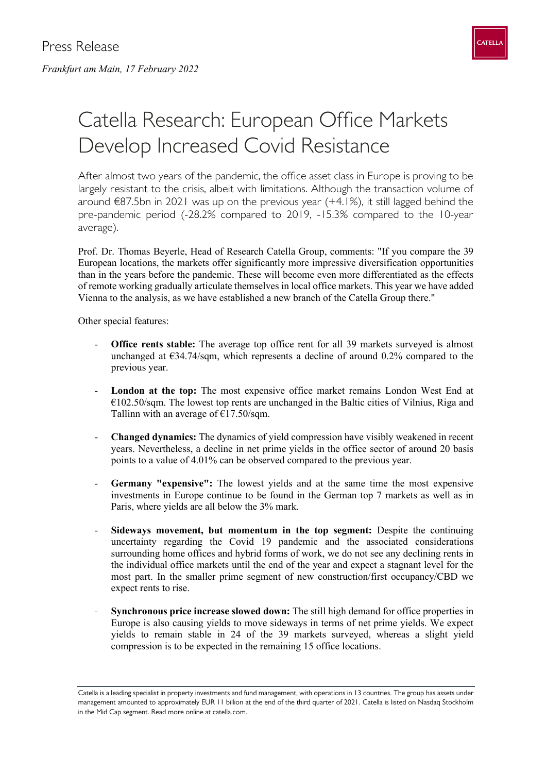

## Catella Research: European Office Markets Develop Increased Covid Resistance

After almost two years of the pandemic, the office asset class in Europe is proving to be largely resistant to the crisis, albeit with limitations. Although the transaction volume of around  $€87.5$ bn in 2021 was up on the previous year  $(+4.1%)$ , it still lagged behind the pre-pandemic period (-28.2% compared to 2019, -15.3% compared to the 10-year average).

Prof. Dr. Thomas Beyerle, Head of Research Catella Group, comments: "If you compare the 39 European locations, the markets offer significantly more impressive diversification opportunities than in the years before the pandemic. These will become even more differentiated as the effects of remote working gradually articulate themselves in local office markets. This year we have added Vienna to the analysis, as we have established a new branch of the Catella Group there."

Other special features:

- **Office rents stable:** The average top office rent for all 39 markets surveyed is almost unchanged at  $E$ 34.74/sqm, which represents a decline of around 0.2% compared to the previous year.
- London at the top: The most expensive office market remains London West End at  $€102.50$ /sqm. The lowest top rents are unchanged in the Baltic cities of Vilnius, Riga and Tallinn with an average of  $\text{\textsterling}17.50/\text{sgm}$ .
- **Changed dynamics:** The dynamics of yield compression have visibly weakened in recent years. Nevertheless, a decline in net prime yields in the office sector of around 20 basis points to a value of 4.01% can be observed compared to the previous year.
- **Germany "expensive":** The lowest yields and at the same time the most expensive investments in Europe continue to be found in the German top 7 markets as well as in Paris, where yields are all below the 3% mark.
- **Sideways movement, but momentum in the top segment:** Despite the continuing uncertainty regarding the Covid 19 pandemic and the associated considerations surrounding home offices and hybrid forms of work, we do not see any declining rents in the individual office markets until the end of the year and expect a stagnant level for the most part. In the smaller prime segment of new construction/first occupancy/CBD we expect rents to rise.
- **Synchronous price increase slowed down:** The still high demand for office properties in Europe is also causing yields to move sideways in terms of net prime yields. We expect yields to remain stable in 24 of the 39 markets surveyed, whereas a slight yield compression is to be expected in the remaining 15 office locations.

Catella is a leading specialist in property investments and fund management, with operations in 13 countries. The group has assets under management amounted to approximately EUR 11 billion at the end of the third quarter of 2021. Catella is listed on Nasdaq Stockholm in the Mid Cap segment. Read more online at catella.com.